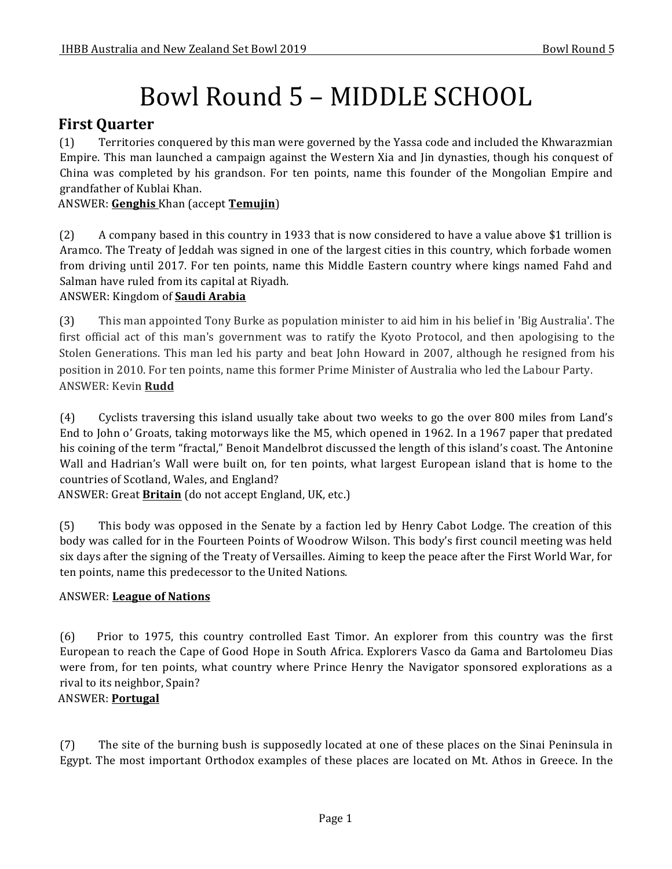# Bowl Round 5 – MIDDLE SCHOOL

# **First Quarter**

(1) Territories conquered by this man were governed by the Yassa code and included the Khwarazmian Empire. This man launched a campaign against the Western Xia and Jin dynasties, though his conquest of China was completed by his grandson. For ten points, name this founder of the Mongolian Empire and grandfather of Kublai Khan.

## ANSWER: **Genghis** Khan (accept **Temujin**)

(2) A company based in this country in 1933 that is now considered to have a value above \$1 trillion is Aramco. The Treaty of Jeddah was signed in one of the largest cities in this country, which forbade women from driving until 2017. For ten points, name this Middle Eastern country where kings named Fahd and Salman have ruled from its capital at Riyadh.

## ANSWER: Kingdom of **Saudi Arabia**

(3) This man appointed Tony Burke as population minister to aid him in his belief in 'Big Australia'. The first official act of this man's government was to ratify the Kyoto Protocol, and then apologising to the Stolen Generations. This man led his party and beat John Howard in 2007, although he resigned from his position in 2010. For ten points, name this former Prime Minister of Australia who led the Labour Party. ANSWER: Kevin **Rudd**

(4) Cyclists traversing this island usually take about two weeks to go the over 800 miles from Land's End to John o' Groats, taking motorways like the M5, which opened in 1962. In a 1967 paper that predated his coining of the term "fractal," Benoit Mandelbrot discussed the length of this island's coast. The Antonine Wall and Hadrian's Wall were built on, for ten points, what largest European island that is home to the countries of Scotland, Wales, and England?

ANSWER: Great **Britain** (do not accept England, UK, etc.)

(5) This body was opposed in the Senate by a faction led by Henry Cabot Lodge. The creation of this body was called for in the Fourteen Points of Woodrow Wilson. This body's first council meeting was held six days after the signing of the Treaty of Versailles. Aiming to keep the peace after the First World War, for ten points, name this predecessor to the United Nations.

## **ANSWER:** League of Nations

(6) Prior to 1975, this country controlled East Timor. An explorer from this country was the first European to reach the Cape of Good Hope in South Africa. Explorers Vasco da Gama and Bartolomeu Dias were from, for ten points, what country where Prince Henry the Navigator sponsored explorations as a rival to its neighbor, Spain?

## ANSWER: **Portugal**

(7) The site of the burning bush is supposedly located at one of these places on the Sinai Peninsula in Egypt. The most important Orthodox examples of these places are located on Mt. Athos in Greece. In the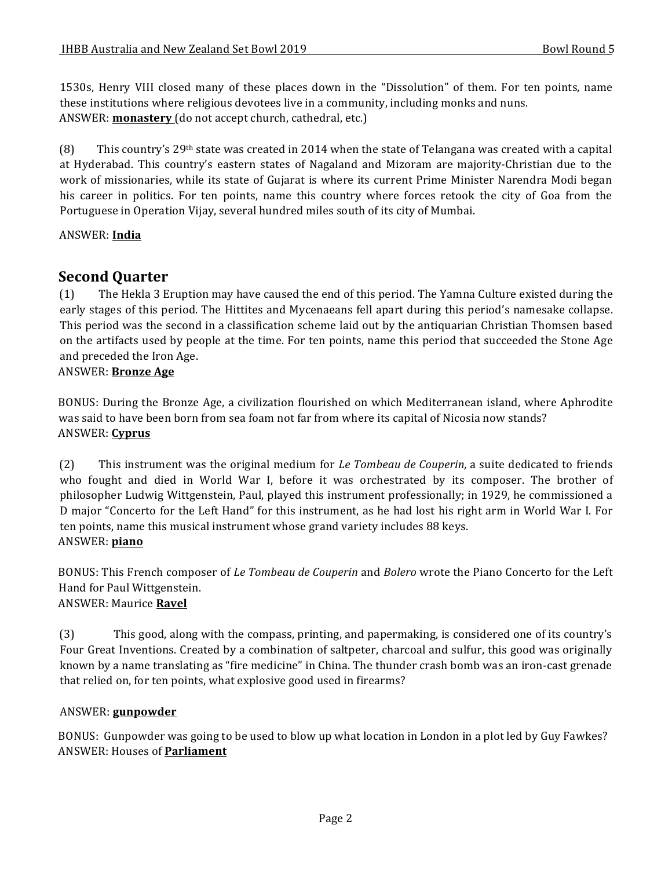1530s, Henry VIII closed many of these places down in the "Dissolution" of them. For ten points, name these institutions where religious devotees live in a community, including monks and nuns. ANSWER: **monastery** (do not accept church, cathedral, etc.)

(8) This country's 29<sup>th</sup> state was created in 2014 when the state of Telangana was created with a capital at Hyderabad. This country's eastern states of Nagaland and Mizoram are majority-Christian due to the work of missionaries, while its state of Gujarat is where its current Prime Minister Narendra Modi began his career in politics. For ten points, name this country where forces retook the city of Goa from the Portuguese in Operation Vijay, several hundred miles south of its city of Mumbai.

### ANSWER: **India**

# **Second Quarter**

(1) The Hekla 3 Eruption may have caused the end of this period. The Yamna Culture existed during the early stages of this period. The Hittites and Mycenaeans fell apart during this period's namesake collapse. This period was the second in a classification scheme laid out by the antiquarian Christian Thomsen based on the artifacts used by people at the time. For ten points, name this period that succeeded the Stone Age and preceded the Iron Age.

#### ANSWER: **Bronze Age**

BONUS: During the Bronze Age, a civilization flourished on which Mediterranean island, where Aphrodite was said to have been born from sea foam not far from where its capital of Nicosia now stands? ANSWER: **Cyprus**

(2) This instrument was the original medium for *Le Tombeau de Couperin*, a suite dedicated to friends who fought and died in World War I, before it was orchestrated by its composer. The brother of philosopher Ludwig Wittgenstein, Paul, played this instrument professionally; in 1929, he commissioned a D major "Concerto for the Left Hand" for this instrument, as he had lost his right arm in World War I. For ten points, name this musical instrument whose grand variety includes 88 keys. ANSWER: **piano**

BONUS: This French composer of *Le Tombeau de Couperin* and *Bolero* wrote the Piano Concerto for the Left Hand for Paul Wittgenstein. ANSWER: Maurice **Ravel**

(3) This good, along with the compass, printing, and papermaking, is considered one of its country's Four Great Inventions. Created by a combination of saltpeter, charcoal and sulfur, this good was originally known by a name translating as "fire medicine" in China. The thunder crash bomb was an iron-cast grenade that relied on, for ten points, what explosive good used in firearms?

#### ANSWER: **gunpowder**

BONUS: Gunpowder was going to be used to blow up what location in London in a plot led by Guy Fawkes? ANSWER: Houses of **Parliament**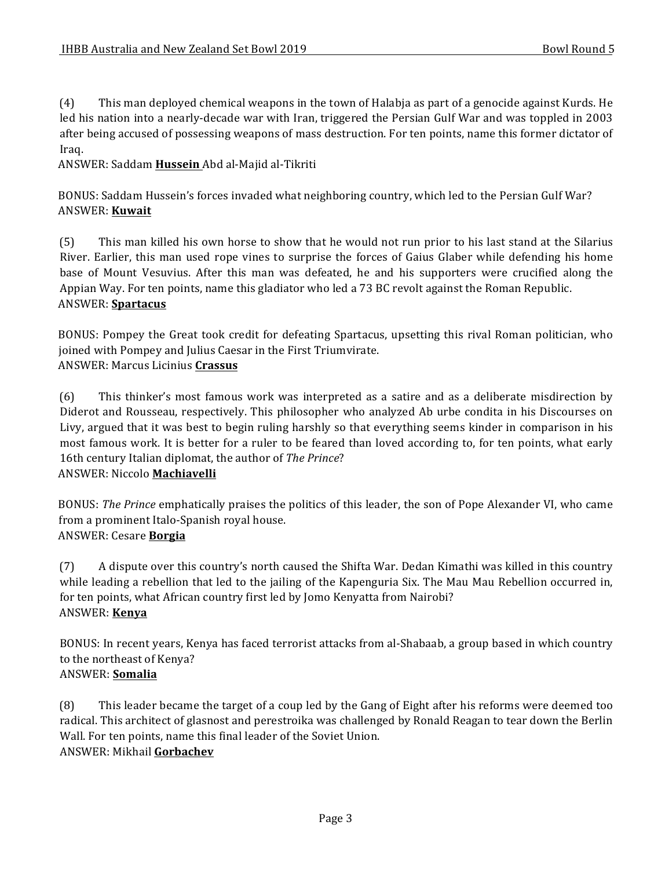(4) This man deployed chemical weapons in the town of Halabja as part of a genocide against Kurds. He led his nation into a nearly-decade war with Iran, triggered the Persian Gulf War and was toppled in 2003 after being accused of possessing weapons of mass destruction. For ten points, name this former dictator of Iraq.

ANSWER: Saddam **Hussein** Abd al-Majid al-Tikriti

BONUS: Saddam Hussein's forces invaded what neighboring country, which led to the Persian Gulf War? ANSWER: **Kuwait**

(5) This man killed his own horse to show that he would not run prior to his last stand at the Silarius River. Earlier, this man used rope vines to surprise the forces of Gaius Glaber while defending his home base of Mount Vesuvius. After this man was defeated, he and his supporters were crucified along the Appian Way. For ten points, name this gladiator who led a 73 BC revolt against the Roman Republic. ANSWER: **Spartacus**

BONUS: Pompey the Great took credit for defeating Spartacus, upsetting this rival Roman politician, who joined with Pompey and Julius Caesar in the First Triumvirate. ANSWER: Marcus Licinius **Crassus**

(6) This thinker's most famous work was interpreted as a satire and as a deliberate misdirection by Diderot and Rousseau, respectively. This philosopher who analyzed Ab urbe condita in his Discourses on Livy, argued that it was best to begin ruling harshly so that everything seems kinder in comparison in his most famous work. It is better for a ruler to be feared than loved according to, for ten points, what early 16th century Italian diplomat, the author of *The Prince*? ANSWER: Niccolo **Machiavelli**

BONUS: *The Prince* emphatically praises the politics of this leader, the son of Pope Alexander VI, who came from a prominent Italo-Spanish royal house. ANSWER: Cesare **Borgia**

(7) A dispute over this country's north caused the Shifta War. Dedan Kimathi was killed in this country while leading a rebellion that led to the jailing of the Kapenguria Six. The Mau Mau Rebellion occurred in, for ten points, what African country first led by Jomo Kenyatta from Nairobi? ANSWER: **Kenya**

BONUS: In recent years, Kenya has faced terrorist attacks from al-Shabaab, a group based in which country to the northeast of Kenya? ANSWER: **Somalia**

(8) This leader became the target of a coup led by the Gang of Eight after his reforms were deemed too radical. This architect of glasnost and perestroika was challenged by Ronald Reagan to tear down the Berlin Wall. For ten points, name this final leader of the Soviet Union. ANSWER: Mikhail **Gorbachev**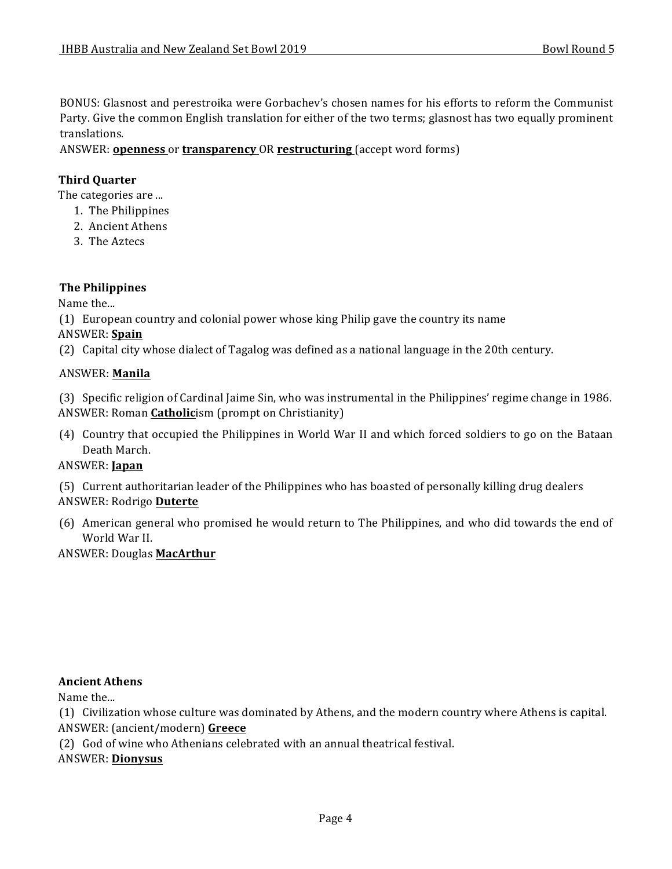BONUS: Glasnost and perestroika were Gorbachev's chosen names for his efforts to reform the Communist Party. Give the common English translation for either of the two terms; glasnost has two equally prominent translations.

ANSWER: **openness** or **transparency** OR **restructuring** (accept word forms)

#### **Third Quarter**

The categories are ...

- 1. The Philippines
- 2. Ancient Athens
- 3. The Aztecs

#### **The Philippines**

Name the...

(1) European country and colonial power whose king Philip gave the country its name

#### ANSWER: **Spain**

(2) Capital city whose dialect of Tagalog was defined as a national language in the 20th century.

#### ANSWER: **Manila**

(3) Specific religion of Cardinal Jaime Sin, who was instrumental in the Philippines' regime change in 1986. ANSWER: Roman **Catholic**ism (prompt on Christianity)

(4) Country that occupied the Philippines in World War II and which forced soldiers to go on the Bataan Death March.

## ANSWER: **Japan**

(5) Current authoritarian leader of the Philippines who has boasted of personally killing drug dealers ANSWER: Rodrigo **Duterte**

(6) American general who promised he would return to The Philippines, and who did towards the end of World War II.

#### **ANSWER: Douglas MacArthur**

#### **Ancient Athens**

Name the...

(1) Civilization whose culture was dominated by Athens, and the modern country where Athens is capital. ANSWER: (ancient/modern) Greece

(2) God of wine who Athenians celebrated with an annual theatrical festival.

#### ANSWER: **Dionysus**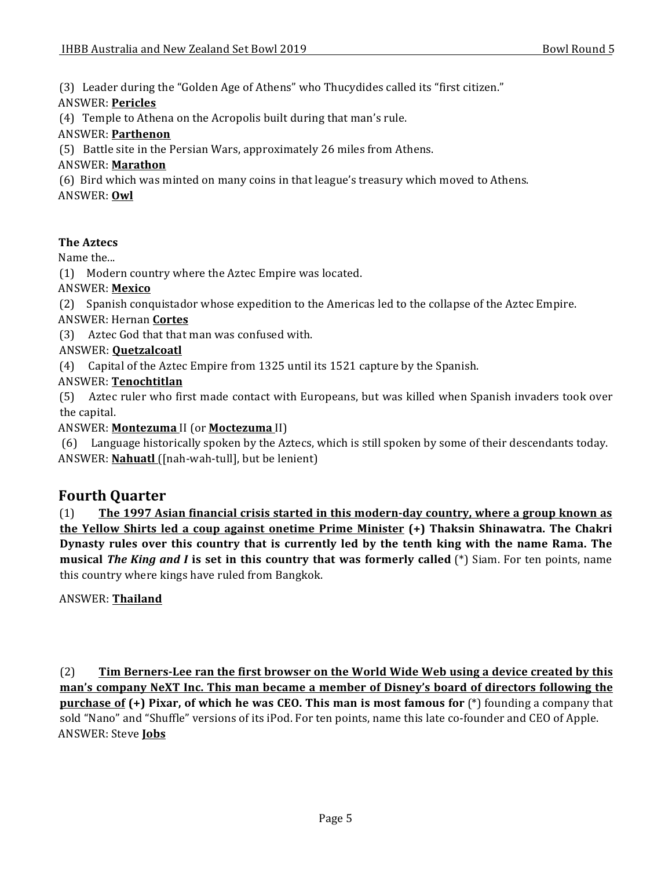(3) Leader during the "Golden Age of Athens" who Thucydides called its "first citizen."

## ANSWER: **Pericles**

 $(4)$  Temple to Athena on the Acropolis built during that man's rule.

## ANSWER: **Parthenon**

(5) Battle site in the Persian Wars, approximately 26 miles from Athens.

## ANSWER: **Marathon**

(6) Bird which was minted on many coins in that league's treasury which moved to Athens.

ANSWER: **Owl**

## **The Aztecs**

Name the...

(1) Modern country where the Aztec Empire was located.

## ANSWER: **Mexico**

(2) Spanish conquistador whose expedition to the Americas led to the collapse of the Aztec Empire.

## ANSWER: Hernan **Cortes**

(3) Aztec God that that man was confused with.

## ANSWER: **Quetzalcoatl**

(4) Capital of the Aztec Empire from 1325 until its 1521 capture by the Spanish.

## ANSWER: **Tenochtitlan**

(5) Aztec ruler who first made contact with Europeans, but was killed when Spanish invaders took over the capital.

## ANSWER: **Montezuma** II (or **Moctezuma** II)

(6) Language historically spoken by the Aztecs, which is still spoken by some of their descendants today. ANSWER: **Nahuatl** ([nah-wah-tull], but be lenient)

# **Fourth Quarter**

(1) **The 1997 Asian financial crisis started in this modern-day country, where a group known as the Yellow Shirts led a coup against onetime Prime Minister (+) Thaksin Shinawatra. The Chakri** Dynasty rules over this country that is currently led by the tenth king with the name Rama. The **musical** *The King and I* **is set in this country that was formerly called** (\*) Siam. For ten points, name this country where kings have ruled from Bangkok.

ANSWER: **Thailand**

(2) **Tim Berners-Lee ran the first browser on the World Wide Web using a device created by this** man's company NeXT Inc. This man became a member of Disney's board of directors following the **purchase of (+) Pixar, of which he was CEO. This man is most famous for** (\*) founding a company that sold "Nano" and "Shuffle" versions of its iPod. For ten points, name this late co-founder and CEO of Apple. ANSWER: Steve **Jobs**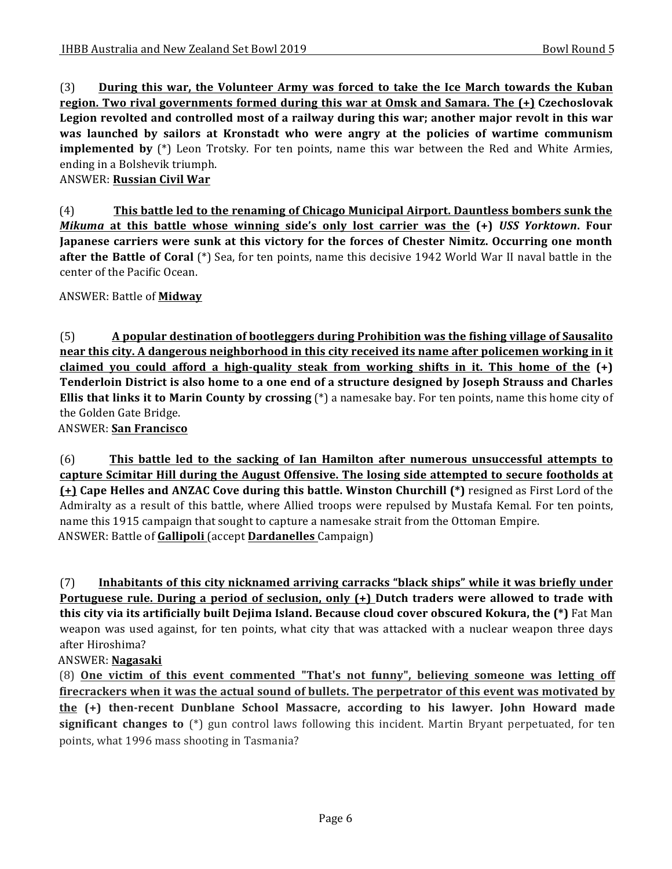(3) **During this war, the Volunteer Army was forced to take the Ice March towards the Kuban region.** Two rival governments formed during this war at Omsk and Samara. The  $(+)$  Czechoslovak **Legion revolted and controlled most of a railway during this war; another major revolt in this war was** launched by sailors at Kronstadt who were angry at the policies of wartime communism **implemented by** (\*) Leon Trotsky. For ten points, name this war between the Red and White Armies, ending in a Bolshevik triumph.

**ANSWER: Russian Civil War** 

(4) This battle led to the renaming of Chicago Municipal Airport. Dauntless bombers sunk the *Mikuma* at this battle whose winning side's only lost carrier was the (+) USS Yorktown. Four **Japanese carriers were sunk at this victory for the forces of Chester Nimitz. Occurring one month after the Battle of Coral** (\*) Sea, for ten points, name this decisive 1942 World War II naval battle in the center of the Pacific Ocean.

ANSWER: Battle of **Midway**

(5) **A** popular destination of bootleggers during Prohibition was the fishing village of Sausalito **near this city.** A dangerous neighborhood in this city received its name after policemen working in it claimed you could afford a high-quality steak from working shifts in it. This home of the  $(+)$ **Tenderloin District is also home to a one end of a structure designed by Joseph Strauss and Charles Ellis that links it to Marin County by crossing** (\*) a namesake bay. For ten points, name this home city of the Golden Gate Bridge.

ANSWER: **San Francisco**

(6) This battle led to the sacking of Ian Hamilton after numerous unsuccessful attempts to **capture Scimitar Hill during the August Offensive. The losing side attempted to secure footholds at (+)** Cape Helles and ANZAC Cove during this battle. Winston Churchill (\*) resigned as First Lord of the Admiralty as a result of this battle, where Allied troops were repulsed by Mustafa Kemal. For ten points, name this 1915 campaign that sought to capture a namesake strait from the Ottoman Empire. ANSWER: Battle of **Gallipoli** (accept **Dardanelles** Campaign)

(7) Inhabitants of this city nicknamed arriving carracks "black ships" while it was briefly under **Portuguese rule. During a period of seclusion, only (+) Dutch traders were allowed to trade with this city via its artificially built Dejima Island. Because cloud cover obscured Kokura, the (\*)** Fat Man weapon was used against, for ten points, what city that was attacked with a nuclear weapon three days after Hiroshima?

ANSWER: **Nagasaki**

(8) One victim of this event commented "That's not funny", believing someone was letting off **firecrackers when it was the actual sound of bullets. The perpetrator of this event was motivated by the** (+) then-recent Dunblane School Massacre, according to his lawyer. John Howard made **significant changes to** (\*) gun control laws following this incident. Martin Bryant perpetuated, for ten points, what 1996 mass shooting in Tasmania?